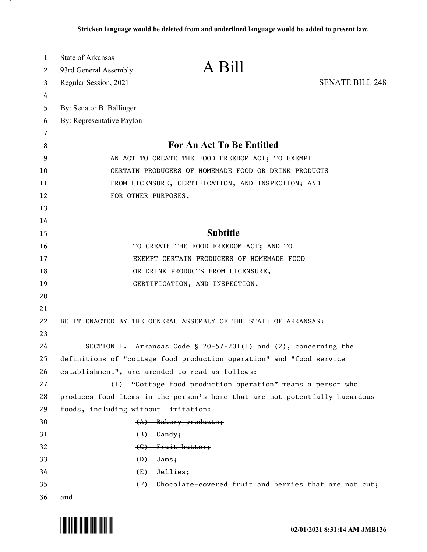| 1  | State of Arkansas                    |                                                                             |                        |
|----|--------------------------------------|-----------------------------------------------------------------------------|------------------------|
| 2  | 93rd General Assembly                | A Bill                                                                      |                        |
| 3  | Regular Session, 2021                |                                                                             | <b>SENATE BILL 248</b> |
| 4  |                                      |                                                                             |                        |
| 5  | By: Senator B. Ballinger             |                                                                             |                        |
| 6  | By: Representative Payton            |                                                                             |                        |
| 7  |                                      |                                                                             |                        |
| 8  |                                      | For An Act To Be Entitled                                                   |                        |
| 9  |                                      | AN ACT TO CREATE THE FOOD FREEDOM ACT; TO EXEMPT                            |                        |
| 10 |                                      | CERTAIN PRODUCERS OF HOMEMADE FOOD OR DRINK PRODUCTS                        |                        |
| 11 |                                      | FROM LICENSURE, CERTIFICATION, AND INSPECTION; AND                          |                        |
| 12 | FOR OTHER PURPOSES.                  |                                                                             |                        |
| 13 |                                      |                                                                             |                        |
| 14 |                                      |                                                                             |                        |
| 15 |                                      | <b>Subtitle</b>                                                             |                        |
| 16 |                                      | TO CREATE THE FOOD FREEDOM ACT; AND TO                                      |                        |
| 17 |                                      | EXEMPT CERTAIN PRODUCERS OF HOMEMADE FOOD                                   |                        |
| 18 |                                      | OR DRINK PRODUCTS FROM LICENSURE,                                           |                        |
| 19 |                                      | CERTIFICATION, AND INSPECTION.                                              |                        |
| 20 |                                      |                                                                             |                        |
| 21 |                                      |                                                                             |                        |
| 22 |                                      | BE IT ENACTED BY THE GENERAL ASSEMBLY OF THE STATE OF ARKANSAS:             |                        |
| 23 |                                      |                                                                             |                        |
| 24 |                                      | SECTION 1. Arkansas Code § 20-57-201(1) and $(2)$ , concerning the          |                        |
| 25 |                                      | definitions of "cottage food production operation" and "food service        |                        |
| 26 |                                      | establishment", are amended to read as follows:                             |                        |
| 27 |                                      | (1) "Cottage food production operation" means a person who                  |                        |
| 28 |                                      | produces food items in the person's home that are not potentially hazardous |                        |
| 29 | foods, including without limitation: |                                                                             |                        |
| 30 |                                      | $(A)$ Bakery products;                                                      |                        |
| 31 |                                      | $(B)$ Gandy;                                                                |                        |
| 32 |                                      | $(C)$ Fruit butter;                                                         |                        |
| 33 | $(D)$ Jams;                          |                                                                             |                        |
| 34 |                                      | $(E)$ Jellies;                                                              |                        |
| 35 |                                      | (F) Chocolate covered fruit and berries that are not cut;                   |                        |
| 36 | and                                  |                                                                             |                        |

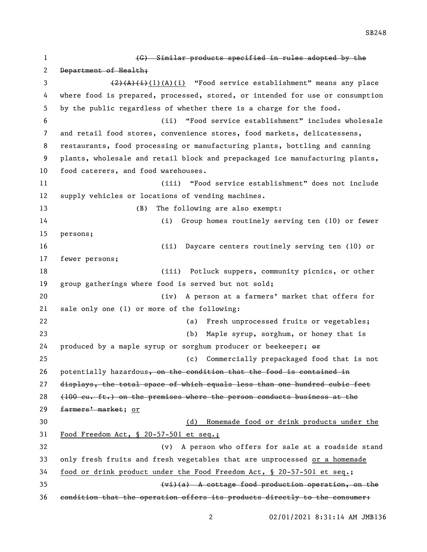(G) Similar products specified in rules adopted by the 2 Department of Health; 3 (2)(A)(i)(A)(i) "Food service establishment" means any place where food is prepared, processed, stored, or intended for use or consumption by the public regardless of whether there is a charge for the food. (ii) "Food service establishment" includes wholesale and retail food stores, convenience stores, food markets, delicatessens, restaurants, food processing or manufacturing plants, bottling and canning plants, wholesale and retail block and prepackaged ice manufacturing plants, food caterers, and food warehouses. (iii) "Food service establishment" does not include supply vehicles or locations of vending machines. 13 (B) The following are also exempt: (i) Group homes routinely serving ten (10) or fewer persons; (ii) Daycare centers routinely serving ten (10) or fewer persons; (iii) Potluck suppers, community picnics, or other group gatherings where food is served but not sold; (iv) A person at a farmers' market that offers for sale only one (1) or more of the following: (a) Fresh unprocessed fruits or vegetables; (b) Maple syrup, sorghum, or honey that is 24 produced by a maple syrup or sorghum producer or beekeeper;  $\Theta$  (c) Commercially prepackaged food that is not 26 potentially hazardous, on the condition that the food is contained in displays, the total space of which equals less than one hundred cubic feet (100 cu. ft.) on the premises where the person conducts business at the 29 farmers' market; or (d) Homemade food or drink products under the Food Freedom Act, § 20-57-501 et seq.; (v) A person who offers for sale at a roadside stand only fresh fruits and fresh vegetables that are unprocessed or a homemade food or drink product under the Food Freedom Act, § 20-57-501 et seq.; (vi)(a) A cottage food production operation, on the condition that the operation offers its products directly to the consumer:

SB248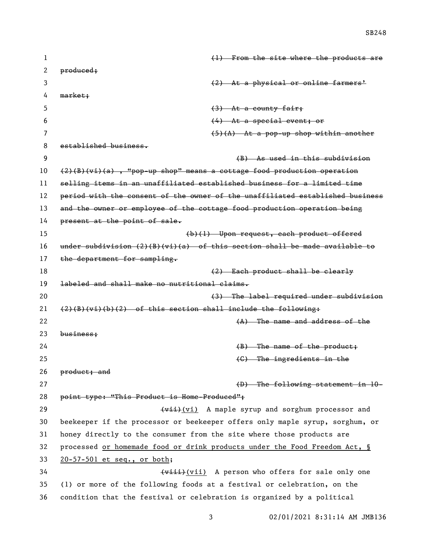| 1  | (1) From the site where the products are                                      |
|----|-------------------------------------------------------------------------------|
| 2  | produced;                                                                     |
| 3  | (2) At a physical or online farmers'                                          |
| 4  | $market$ ;                                                                    |
| 5  | $(3)$ At a county fair;                                                       |
| 6  | $(4)$ At a special event; or                                                  |
| 7  | $(5)(A)$ At a pop-up shop within another                                      |
| 8  | established business.                                                         |
| 9  | (B) As used in this subdivision                                               |
| 10 | $(2)(B)(vi)(a)$ , "pop-up shop" means a cottage food production operation     |
| 11 | selling items in an unaffiliated established business for a limited time      |
| 12 | period with the consent of the owner of the unaffiliated established business |
| 13 | and the owner or employee of the cottage food production operation being      |
| 14 | present at the point of sale.                                                 |
| 15 | (b)(1) Upon request, each product offered                                     |
| 16 | under subdivision $(2)(B)(vi)(a)$ of this section shall be made available to  |
| 17 | the department for sampling.                                                  |
| 18 | (2) Each product shall be clearly                                             |
| 19 | labeled and shall make no nutritional claims.                                 |
| 20 | (3) The label required under subdivision                                      |
| 21 | $(2)(B)(vi)(b)(2)$ of this section shall include the following:               |
| 22 | $(A)$ The name and address of the                                             |
| 23 | $busines$                                                                     |
| 24 | $(B)$ The name of the product;                                                |
| 25 | (C) The ingredients in the                                                    |
| 26 | product; and                                                                  |
| 27 | (D) The following statement in 10-                                            |
| 28 | point type: "This Product is Home-Produced";                                  |
| 29 | (vii) A maple syrup and sorghum processor and                                 |
| 30 | beekeeper if the processor or beekeeper offers only maple syrup, sorghum, or  |
| 31 | honey directly to the consumer from the site where those products are         |
| 32 | processed or homemade food or drink products under the Food Freedom Act, §    |
| 33 | $20 - 57 - 501$ et seq., or both;                                             |
| 34 | (viii) A person who offers for sale only one                                  |
| 35 | (1) or more of the following foods at a festival or celebration, on the       |
| 36 | condition that the festival or celebration is organized by a political        |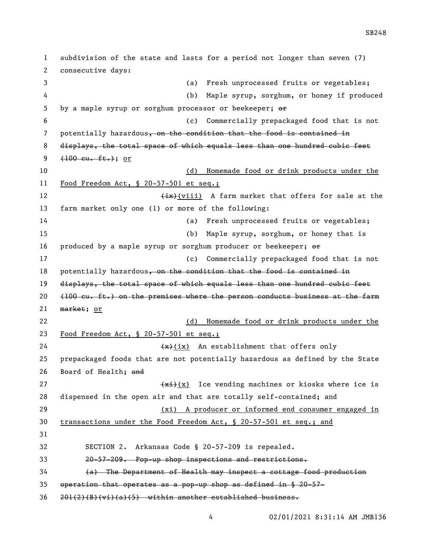subdivision of the state and lasts for a period not longer than seven (7) consecutive days: (a) Fresh unprocessed fruits or vegetables; (b) Maple syrup, sorghum, or honey if produced 5 by a maple syrup or sorghum processor or beekeeper;  $\Theta$  (c) Commercially prepackaged food that is not 7 potentially hazardous, on the condition that the food is contained in displays, the total space of which equals less than one hundred cubic feet  $(100 \text{ cu. ft.})$ ; or (d) Homemade food or drink products under the Food Freedom Act, § 20-57-501 et seq.; 12 (ix)(viii) A farm market that offers for sale at the farm market only one (1) or more of the following: (a) Fresh unprocessed fruits or vegetables; (b) Maple syrup, sorghum, or honey that is 16 produced by a maple syrup or sorghum producer or beekeeper;  $\Theta$ r (c) Commercially prepackaged food that is not 18 potentially hazardous, on the condition that the food is contained in 19 displays, the total space of which equals less than one hundred cubic feet  $(100 \text{ cu. ft.})$  on the premises where the person conducts business at the farm 21 market; or (d) Homemade food or drink products under the Food Freedom Act, § 20-57-501 et seq.;  $\left(\frac{1}{x}\right)(ix)$  An establishment that offers only prepackaged foods that are not potentially hazardous as defined by the State Board of Health; and  $\frac{f(x+1)}{x}$  Ice vending machines or kiosks where ice is dispensed in the open air and that are totally self-contained; and (xi) A producer or informed end consumer engaged in transactions under the Food Freedom Act, § 20-57-501 et seq.; and SECTION 2. Arkansas Code § 20-57-209 is repealed. 20-57-209. Pop-up shop inspections and restrictions. (a) The Department of Health may inspect a cottage food production operation that operates as a pop-up shop as defined in § 20-57-  $36 \quad 201(2)(B)(vi)(a)(5)$  within another established business.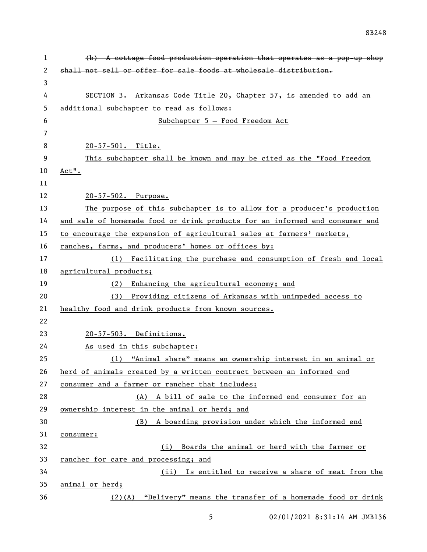| 1  | $(b)$ A cottage food production operation that operates as a pop-up shop     |
|----|------------------------------------------------------------------------------|
| 2  | shall not sell or offer for sale foods at wholesale distribution.            |
| 3  |                                                                              |
| 4  | SECTION 3. Arkansas Code Title 20, Chapter 57, is amended to add an          |
| 5  | additional subchapter to read as follows:                                    |
| 6  | Subchapter 5 - Food Freedom Act                                              |
| 7  |                                                                              |
| 8  | 20-57-501. Title.                                                            |
| 9  | This subchapter shall be known and may be cited as the "Food Freedom         |
| 10 | $Act$ ".                                                                     |
| 11 |                                                                              |
| 12 | 20-57-502. Purpose.                                                          |
| 13 | The purpose of this subchapter is to allow for a producer's production       |
| 14 | and sale of homemade food or drink products for an informed end consumer and |
| 15 | to encourage the expansion of agricultural sales at farmers' markets,        |
| 16 | ranches, farms, and producers' homes or offices by:                          |
| 17 | (1) Facilitating the purchase and consumption of fresh and local             |
| 18 | agricultural products;                                                       |
| 19 | Enhancing the agricultural economy; and<br>(2)                               |
| 20 | Providing citizens of Arkansas with unimpeded access to<br>(3)               |
| 21 | healthy food and drink products from known sources.                          |
| 22 |                                                                              |
| 23 | 20-57-503. Definitions.                                                      |
| 24 | As used in this subchapter:                                                  |
| 25 | (1) "Animal share" means an ownership interest in an animal or               |
| 26 | herd of animals created by a written contract between an informed end        |
| 27 | consumer and a farmer or rancher that includes:                              |
| 28 | (A) A bill of sale to the informed end consumer for an                       |
| 29 | ownership interest in the animal or herd; and                                |
| 30 | (B) A boarding provision under which the informed end                        |
| 31 | consumer:                                                                    |
| 32 | Boards the animal or herd with the farmer or<br>(i)                          |
| 33 | rancher for care and processing; and                                         |
| 34 | Is entitled to receive a share of meat from the<br>(ii)                      |
| 35 | animal or herd;                                                              |
| 36 | $(2)$ (A) "Delivery" means the transfer of a homemade food or drink          |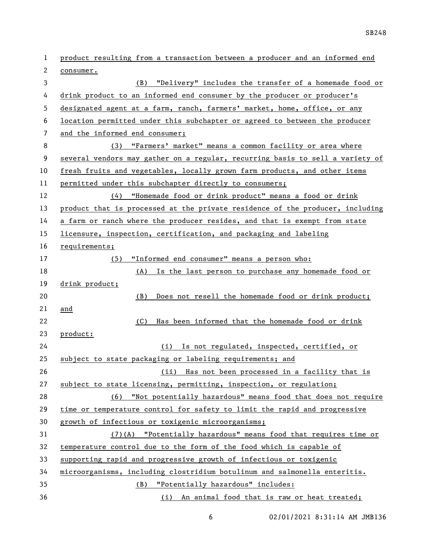product resulting from a transaction between a producer and an informed end consumer. (B) "Delivery" includes the transfer of a homemade food or 4 drink product to an informed end consumer by the producer or producer's designated agent at a farm, ranch, farmers' market, home, office, or any location permitted under this subchapter or agreed to between the producer and the informed end consumer; (3) "Farmers' market" means a common facility or area where several vendors may gather on a regular, recurring basis to sell a variety of 10 fresh fruits and vegetables, locally grown farm products, and other items permitted under this subchapter directly to consumers; (4) "Homemade food or drink product" means a food or drink product that is processed at the private residence of the producer, including a farm or ranch where the producer resides, and that is exempt from state licensure, inspection, certification, and packaging and labeling requirements; (5) "Informed end consumer" means a person who: (A) Is the last person to purchase any homemade food or drink product; (B) Does not resell the homemade food or drink product; and (C) Has been informed that the homemade food or drink product: (i) Is not regulated, inspected, certified, or subject to state packaging or labeling requirements; and (ii) Has not been processed in a facility that is subject to state licensing, permitting, inspection, or regulation; (6) "Not potentially hazardous" means food that does not require time or temperature control for safety to limit the rapid and progressive growth of infectious or toxigenic microorganisms; (7)(A) "Potentially hazardous" means food that requires time or temperature control due to the form of the food which is capable of supporting rapid and progressive growth of infectious or toxigenic microorganisms, including clostridium botulinum and salmonella enteritis. (B) "Potentially hazardous" includes: (i) An animal food that is raw or heat treated;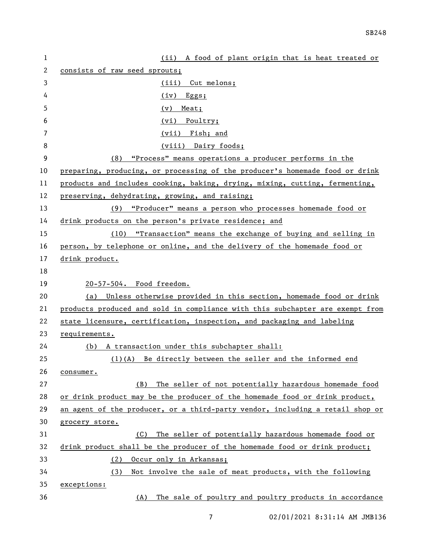| $\mathbf{1}$ | (ii) A food of plant origin that is heat treated or                           |
|--------------|-------------------------------------------------------------------------------|
| 2            | consists of raw seed sprouts;                                                 |
| 3            | (iii) Cut melons;                                                             |
| 4            | (iv)<br>Eggs;                                                                 |
| 5            | Meat;<br>(v)                                                                  |
| 6            | (vi) Poultry;                                                                 |
| 7            | (vii) Fish; and                                                               |
| 8            | (viii) Dairy foods;                                                           |
| 9            | "Process" means operations a producer performs in the<br>(8)                  |
| 10           | preparing, producing, or processing of the producer's homemade food or drink  |
| 11           | products and includes cooking, baking, drying, mixing, cutting, fermenting,   |
| 12           | preserving, dehydrating, growing, and raising;                                |
| 13           | (9) "Producer" means a person who processes homemade food or                  |
| 14           | drink products on the person's private residence; and                         |
| 15           | "Transaction" means the exchange of buying and selling in<br>(10)             |
| 16           | person, by telephone or online, and the delivery of the homemade food or      |
| 17           | drink product.                                                                |
| 18           |                                                                               |
| 19           | 20-57-504. Food freedom.                                                      |
| 20           | (a) Unless otherwise provided in this section, homemade food or drink         |
| 21           | products produced and sold in compliance with this subchapter are exempt from |
| 22           | state licensure, certification, inspection, and packaging and labeling        |
| 23           | requirements.                                                                 |
| 24           | (b) A transaction under this subchapter shall:                                |
| 25           | $(1)(A)$ Be directly between the seller and the informed end                  |
| 26           | consumer.                                                                     |
| 27           | The seller of not potentially hazardous homemade food<br>(B)                  |
| 28           | or drink product may be the producer of the homemade food or drink product,   |
| 29           | an agent of the producer, or a third-party vendor, including a retail shop or |
| 30           | grocery store.                                                                |
| 31           | The seller of potentially hazardous homemade food or<br>(C)                   |
| 32           | drink product shall be the producer of the homemade food or drink product;    |
| 33           | Occur only in Arkansas;<br>(2)                                                |
| 34           | (3)<br>Not involve the sale of meat products, with the following              |
| 35           | exceptions:                                                                   |
| 36           | The sale of poultry and poultry products in accordance<br>(A)                 |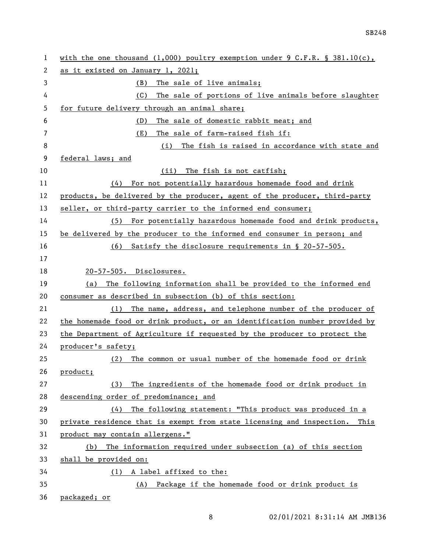| 1  | with the one thousand (1,000) poultry exemption under 9 C.F.R. § 381.10(c), |
|----|-----------------------------------------------------------------------------|
| 2  | as it existed on January 1, 2021;                                           |
| 3  | (B)<br>The sale of live animals;                                            |
| 4  | The sale of portions of live animals before slaughter<br>(C)                |
| 5  | for future delivery through an animal share;                                |
| 6  | The sale of domestic rabbit meat; and<br>(D)                                |
| 7  | The sale of farm-raised fish if:<br>(E)                                     |
| 8  | The fish is raised in accordance with state and<br>(i)                      |
| 9  | federal laws; and                                                           |
| 10 | The fish is not catfish;<br>(ii)                                            |
| 11 | For not potentially hazardous homemade food and drink<br>(4)                |
| 12 | products, be delivered by the producer, agent of the producer, third-party  |
| 13 | seller, or third-party carrier to the informed end consumer;                |
| 14 | For potentially hazardous homemade food and drink products,<br>(5)          |
| 15 | be delivered by the producer to the informed end consumer in person; and    |
| 16 | Satisfy the disclosure requirements in § 20-57-505.<br>(6)                  |
| 17 |                                                                             |
| 18 | 20-57-505. Disclosures.                                                     |
| 19 | The following information shall be provided to the informed end<br>(a)      |
| 20 | consumer as described in subsection (b) of this section:                    |
| 21 | (1) The name, address, and telephone number of the producer of              |
| 22 | the homemade food or drink product, or an identification number provided by |
| 23 | the Department of Agriculture if requested by the producer to protect the   |
| 24 | producer's safety;                                                          |
| 25 | The common or usual number of the homemade food or drink<br>(2)             |
| 26 | product;                                                                    |
| 27 | The ingredients of the homemade food or drink product in<br>(3)             |
| 28 | descending order of predominance; and                                       |
| 29 | The following statement: "This product was produced in a<br>(4)             |
| 30 | private residence that is exempt from state licensing and inspection. This  |
| 31 | product may contain allergens."                                             |
| 32 | The information required under subsection (a) of this section<br>(b)        |
| 33 | shall be provided on:                                                       |
| 34 | A label affixed to the:<br>(1)                                              |
| 35 | (A) Package if the homemade food or drink product is                        |
| 36 | packaged; or                                                                |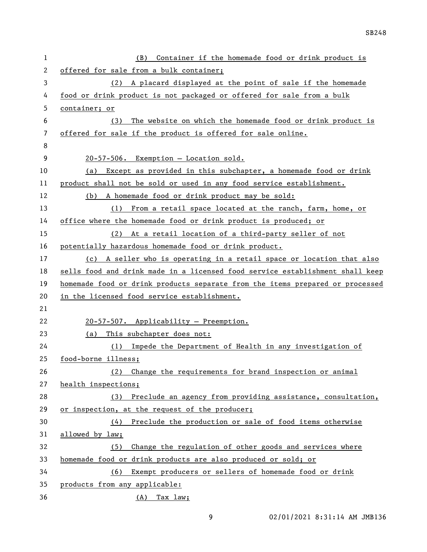| 1            | Container if the homemade food or drink product is<br>(B)                     |
|--------------|-------------------------------------------------------------------------------|
| $\mathbf{2}$ | offered for sale from a bulk container;                                       |
| 3            | (2) A placard displayed at the point of sale if the homemade                  |
| 4            | food or drink product is not packaged or offered for sale from a bulk         |
| 5            | container; or                                                                 |
| 6            | The website on which the homemade food or drink product is<br>(3)             |
| 7            | offered for sale if the product is offered for sale online.                   |
| 8            |                                                                               |
| 9            | 20-57-506. Exemption - Location sold.                                         |
| 10           | Except as provided in this subchapter, a homemade food or drink<br>(a)        |
| 11           | product shall not be sold or used in any food service establishment.          |
| 12           | (b) A homemade food or drink product may be sold:                             |
| 13           | (1) From a retail space located at the ranch, farm, home, or                  |
| 14           | office where the homemade food or drink product is produced; or               |
| 15           | (2) At a retail location of a third-party seller of not                       |
| 16           | potentially hazardous homemade food or drink product.                         |
| 17           | (c) A seller who is operating in a retail space or location that also         |
| 18           | sells food and drink made in a licensed food service establishment shall keep |
| 19           | homemade food or drink products separate from the items prepared or processed |
| 20           | in the licensed food service establishment.                                   |
| 21           |                                                                               |
| 22           | 20-57-507. Applicability - Preemption.                                        |
| 23           | This subchapter does not:<br>(a)                                              |
| 24           | Impede the Department of Health in any investigation of<br>(1)                |
| 25           | food-borne illness;                                                           |
| 26           | (2) Change the requirements for brand inspection or animal                    |
| 27           | health inspections;                                                           |
| 28           | (3) Preclude an agency from providing assistance, consultation,               |
| 29           | or inspection, at the request of the producer;                                |
| 30           | $(4)$ Preclude the production or sale of food items otherwise                 |
| 31           | allowed by law;                                                               |
| 32           | Change the regulation of other goods and services where<br>(5)                |
| 33           | homemade food or drink products are also produced or sold; or                 |
| 34           | (6) Exempt producers or sellers of homemade food or drink                     |
| 35           | products from any applicable:                                                 |
| 36           | $(A)$ Tax $law;$                                                              |